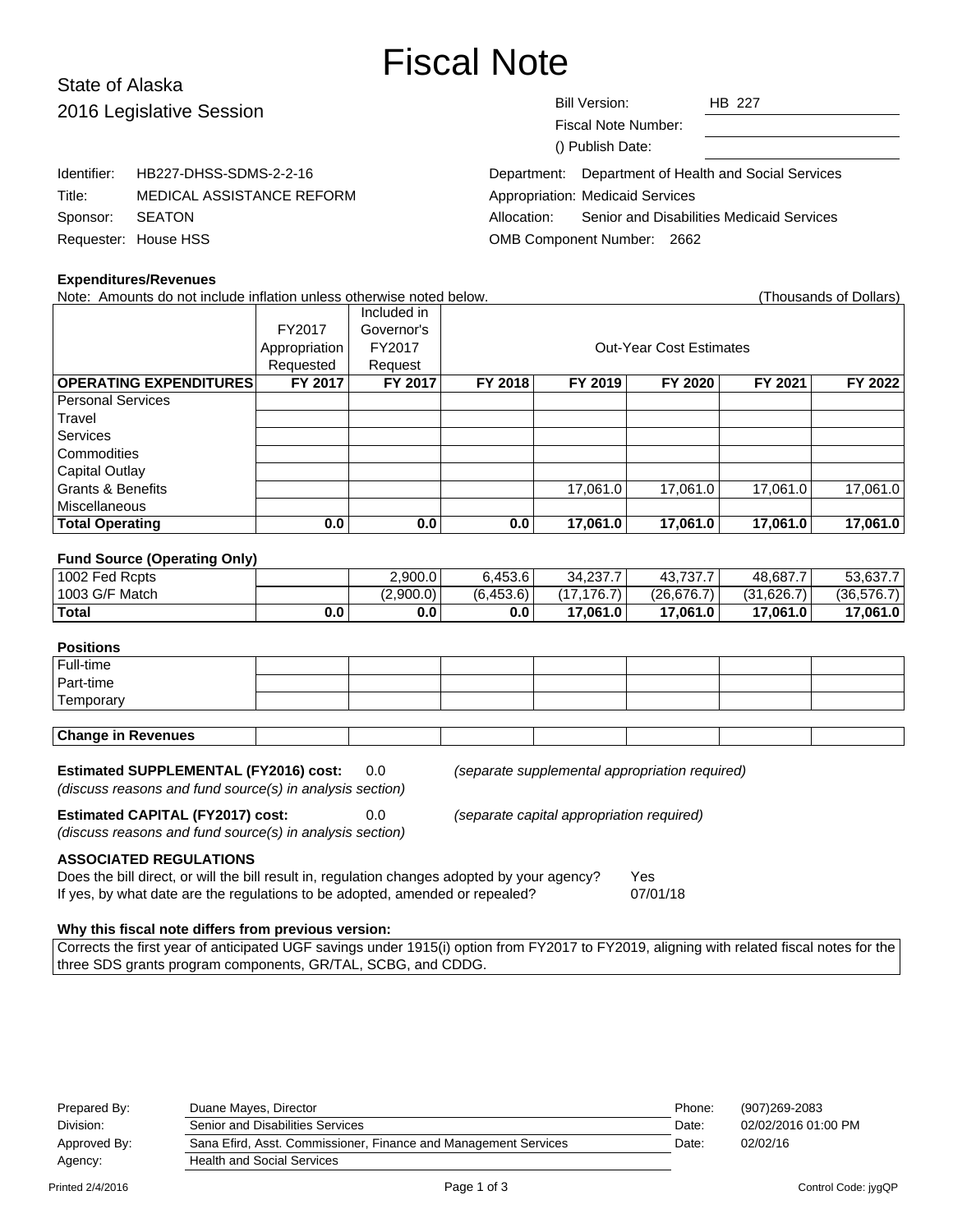# Fiscal Note

# State of Alaska 2016 L

| 2016 Legislative Session |                                                                      | <b>Bill Version:</b><br><b>HB 227</b>                    |  |
|--------------------------|----------------------------------------------------------------------|----------------------------------------------------------|--|
|                          |                                                                      | Fiscal Note Number:                                      |  |
|                          |                                                                      | () Publish Date:                                         |  |
| Identifier:              | HB227-DHSS-SDMS-2-2-16                                               | Department of Health and Social Services<br>Department:  |  |
| Title:                   | <b>Appropriation: Medicaid Services</b><br>MEDICAL ASSISTANCE REFORM |                                                          |  |
| Sponsor:                 | <b>SEATON</b>                                                        | Senior and Disabilities Medicaid Services<br>Allocation: |  |
|                          | Requester: House HSS                                                 | OMB Component Number: 2662                               |  |
|                          |                                                                      |                                                          |  |

#### **Expenditures/Revenues**

| Note: Amounts do not include inflation unless otherwise noted below. |               |             |         |          |                                |          | (Thousands of Dollars) |
|----------------------------------------------------------------------|---------------|-------------|---------|----------|--------------------------------|----------|------------------------|
|                                                                      |               | Included in |         |          |                                |          |                        |
|                                                                      | FY2017        | Governor's  |         |          |                                |          |                        |
|                                                                      | Appropriation | FY2017      |         |          | <b>Out-Year Cost Estimates</b> |          |                        |
|                                                                      | Requested     | Request     |         |          |                                |          |                        |
| <b>OPERATING EXPENDITURES</b>                                        | FY 2017       | FY 2017     | FY 2018 | FY 2019  | FY 2020                        | FY 2021  | FY 2022                |
| <b>Personal Services</b>                                             |               |             |         |          |                                |          |                        |
| Travel                                                               |               |             |         |          |                                |          |                        |
| <b>Services</b>                                                      |               |             |         |          |                                |          |                        |
| Commodities                                                          |               |             |         |          |                                |          |                        |
| Capital Outlay                                                       |               |             |         |          |                                |          |                        |
| <b>Grants &amp; Benefits</b>                                         |               |             |         | 17.061.0 | 17.061.0                       | 17.061.0 | 17,061.0               |
| <b>Miscellaneous</b>                                                 |               |             |         |          |                                |          |                        |
| <b>Total Operating</b>                                               | 0.0           | 0.0         | 0.0     | 17,061.0 | 17,061.0                       | 17,061.0 | 17,061.0               |

#### **Fund Source (Operating Only)**

| .              |     |           |           |              |            |            |             |
|----------------|-----|-----------|-----------|--------------|------------|------------|-------------|
| 1002 Fed Rcpts |     | 2,900.0   | 6.453.6   | 34.237.7     | 43,737.7   | 48.687.7   | 53,637.7    |
| 1003 G/F Match |     | (2.900.0) | (6.453.6) | 17,176.7     | (26.676.7) | (31.626.7) | (36, 576.7) |
| ∣ Total        | 0.0 | 0.0       | 0.0       | $17.061.0 +$ | 17.061.0   | 17,061.0   | 17,061.0    |
|                |     |           |           |              |            |            |             |

## **Positions**

| Full-time                 |  |  |  |  |  |  |  |
|---------------------------|--|--|--|--|--|--|--|
| Part-time                 |  |  |  |  |  |  |  |
| Temporary                 |  |  |  |  |  |  |  |
|                           |  |  |  |  |  |  |  |
| <b>Change in Revenues</b> |  |  |  |  |  |  |  |

| <b>Estimated SUPPLEMENTAL (FY2016) cost:</b>             | 0.0 |
|----------------------------------------------------------|-----|
| (discuss reasons and fund source(s) in analysis section) |     |

(separate supplemental appropriation required)

**Estimated CAPITAL (FY2017) cost:** 0.0 (separate capital appropriation required)

(discuss reasons and fund source(s) in analysis section)

**ASSOCIATED REGULATIONS**

Does the bill direct, or will the bill result in, regulation changes adopted by your agency? Yes If yes, by what date are the regulations to be adopted, amended or repealed? 07/01/18

# **Why this fiscal note differs from previous version:**

Corrects the first year of anticipated UGF savings under 1915(i) option from FY2017 to FY2019, aligning with related fiscal notes for the three SDS grants program components, GR/TAL, SCBG, and CDDG.

| 02/02/2016 01:00 PM |
|---------------------|
|                     |
|                     |
|                     |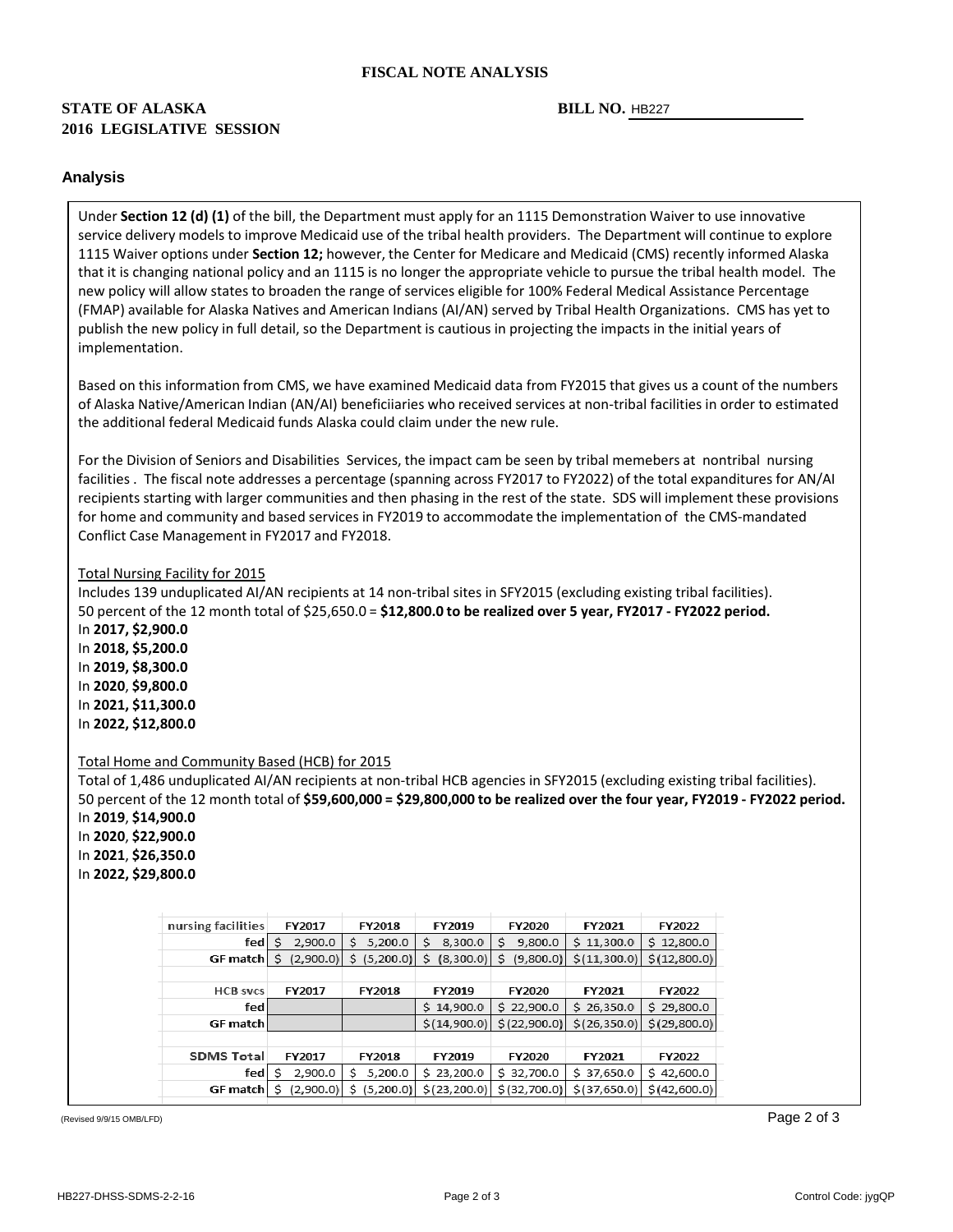#### **FISCAL NOTE ANALYSIS**

# **STATE OF ALASKA 2016 LEGISLATIVE SESSION**

#### BILL NO. HB227

#### **Analysis**

Under **Section 12 (d) (1)** of the bill, the Department must apply for an 1115 Demonstration Waiver to use innovative service delivery models to improve Medicaid use of the tribal health providers. The Department will continue to explore 1115 Waiver options under **Section 12;** however, the Center for Medicare and Medicaid (CMS) recently informed Alaska that it is changing national policy and an 1115 is no longer the appropriate vehicle to pursue the tribal health model. The new policy will allow states to broaden the range of services eligible for 100% Federal Medical Assistance Percentage (FMAP) available for Alaska Natives and American Indians (AI/AN) served by Tribal Health Organizations. CMS has yet to publish the new policy in full detail, so the Department is cautious in projecting the impacts in the initial years of implementation.

Based on this information from CMS, we have examined Medicaid data from FY2015 that gives us a count of the numbers of Alaska Native/American Indian (AN/AI) beneficiiaries who received services at non-tribal facilities in order to estimated the additional federal Medicaid funds Alaska could claim under the new rule.

For the Division of Seniors and Disabilities Services, the impact cam be seen by tribal memebers at nontribal nursing facilities . The fiscal note addresses a percentage (spanning across FY2017 to FY2022) of the total expanditures for AN/AI recipients starting with larger communities and then phasing in the rest of the state. SDS will implement these provisions for home and community and based services in FY2019 to accommodate the implementation of the CMS-mandated Conflict Case Management in FY2017 and FY2018.

#### Total Nursing Facility for 2015

Includes 139 unduplicated AI/AN recipients at 14 non-tribal sites in SFY2015 (excluding existing tribal facilities). 50 percent of the 12 month total of \$25,650.0 = **\$12,800.0 to be realized over 5 year, FY2017 - FY2022 period.** In **2017, \$2,900.0** In **2018, \$5,200.0** In **2019, \$8,300.0** In **2020**, **\$9,800.0** In **2021, \$11,300.0**

In **2022, \$12,800.0**

#### Total Home and Community Based (HCB) for 2015

Total of 1,486 unduplicated AI/AN recipients at non-tribal HCB agencies in SFY2015 (excluding existing tribal facilities). 50 percent of the 12 month total of **\$59,600,000 = \$29,800,000 to be realized over the four year, FY2019 - FY2022 period.** In **2019**, **\$14,900.0**

In **2020**, **\$22,900.0**  In **2021**, **\$26,350.0** In **2022, \$29,800.0**

| nursing facilities | FY2017       | <b>FY2018</b>   | FY2019         | FY2020         | FY2021        | FY2022        |
|--------------------|--------------|-----------------|----------------|----------------|---------------|---------------|
| fedl               | 2,900.0      | 5,200.0<br>s    | 8,300.0<br>s   | 9,800.0<br>s   | \$11,300.0    | \$12,800.0    |
| GF match           | (2,900.0)    | (5,200.0)<br>S. | (8,300.0)<br>S | (9,800.0)<br>S | \$(11,300.0)  | \$(12,800.0)  |
|                    |              |                 |                |                |               |               |
| <b>HCB</b> svcs    | FY2017       | <b>FY2018</b>   | FY2019         | FY2020         | FY2021        | FY2022        |
| fedl               |              |                 | \$14,900.0     | \$22,900.0     | \$26,350.0    | \$29,800.0    |
| <b>GF</b> match    |              |                 | \$(14,900.0)   | \$(22,900.0)   | \$(26,350.0)  | \$(29,800.0)  |
|                    |              |                 |                |                |               |               |
| <b>SDMS Total</b>  | FY2017       | <b>FY2018</b>   | <b>FY2019</b>  | <b>FY2020</b>  | <b>FY2021</b> | FY2022        |
| fed                | 2,900.0<br>s | 5,200.0<br>S    | \$23,200.0     | 32,700.0<br>s  | \$37,650.0    | 42,600.0<br>s |
| GF match           | (2,900.0)    | (5,200.0)<br>S  | \$(23, 200.0)] | \$ (32,700.0)  | \$(37,650.0)  | \$(42,600.0)  |
|                    |              |                 |                |                |               |               |

(Revised 9/9/15 OMB/LFD) Page 2 of 3